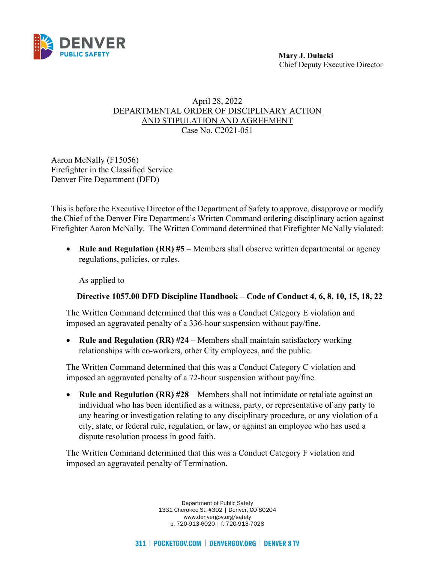

#### April 28, 2022 DEPARTMENTAL ORDER OF DISCIPLINARY ACTION AND STIPULATION AND AGREEMENT Case No. C2021-051

Aaron McNally (F15056) Firefighter in the Classified Service Denver Fire Department (DFD)

This is before the Executive Director of the Department of Safety to approve, disapprove or modify the Chief of the Denver Fire Department's Written Command ordering disciplinary action against Firefighter Aaron McNally. The Written Command determined that Firefighter McNally violated:

• **Rule and Regulation (RR) #5** – Members shall observe written departmental or agency regulations, policies, or rules.

As applied to

## **Directive 1057.00 DFD Discipline Handbook – Code of Conduct 4, 6, 8, 10, 15, 18, 22**

The Written Command determined that this was a Conduct Category E violation and imposed an aggravated penalty of a 336-hour suspension without pay/fine.

• **Rule and Regulation (RR) #24** – Members shall maintain satisfactory working relationships with co-workers, other City employees, and the public.

The Written Command determined that this was a Conduct Category C violation and imposed an aggravated penalty of a 72-hour suspension without pay/fine.

• **Rule and Regulation (RR) #28** – Members shall not intimidate or retaliate against an individual who has been identified as a witness, party, or representative of any party to any hearing or investigation relating to any disciplinary procedure, or any violation of a city, state, or federal rule, regulation, or law, or against an employee who has used a dispute resolution process in good faith.

The Written Command determined that this was a Conduct Category F violation and imposed an aggravated penalty of Termination.

> Department of Public Safety 1331 Cherokee St. #302 | Denver, CO 80204 www.denvergov.org/safety p. 720-913-6020 | f. 720-913-7028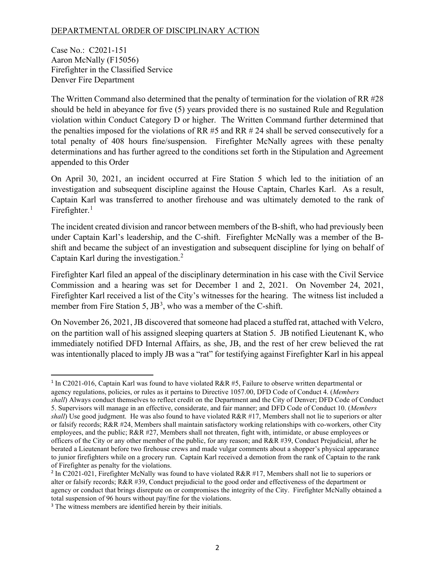Case No.: C2021-151 Aaron McNally (F15056) Firefighter in the Classified Service Denver Fire Department

The Written Command also determined that the penalty of termination for the violation of RR #28 should be held in abeyance for five (5) years provided there is no sustained Rule and Regulation violation within Conduct Category D or higher. The Written Command further determined that the penalties imposed for the violations of RR #5 and RR # 24 shall be served consecutively for a total penalty of 408 hours fine/suspension. Firefighter McNally agrees with these penalty determinations and has further agreed to the conditions set forth in the Stipulation and Agreement appended to this Order

On April 30, 2021, an incident occurred at Fire Station 5 which led to the initiation of an investigation and subsequent discipline against the House Captain, Charles Karl. As a result, Captain Karl was transferred to another firehouse and was ultimately demoted to the rank of Firefighter.<sup>[1](#page-1-0)</sup>

The incident created division and rancor between members of the B-shift, who had previously been under Captain Karl's leadership, and the C-shift. Firefighter McNally was a member of the Bshift and became the subject of an investigation and subsequent discipline for lying on behalf of Captain Karl during the investigation. $2$ 

Firefighter Karl filed an appeal of the disciplinary determination in his case with the Civil Service Commission and a hearing was set for December 1 and 2, 2021. On November 24, 2021, Firefighter Karl received a list of the City's witnesses for the hearing. The witness list included a member from Fire Station 5,  $JB^3$  $JB^3$ , who was a member of the C-shift.

On November 26, 2021, JB discovered that someone had placed a stuffed rat, attached with Velcro, on the partition wall of his assigned sleeping quarters at Station 5. JB notified Lieutenant K, who immediately notified DFD Internal Affairs, as she, JB, and the rest of her crew believed the rat was intentionally placed to imply JB was a "rat" for testifying against Firefighter Karl in his appeal

<span id="page-1-0"></span><sup>&</sup>lt;sup>1</sup> In C2021-016, Captain Karl was found to have violated R&R #5, Failure to observe written departmental or agency regulations, policies, or rules as it pertains to Directive 1057.00, DFD Code of Conduct 4. (*Members shall*) Always conduct themselves to reflect credit on the Department and the City of Denver; DFD Code of Conduct 5. Supervisors will manage in an effective, considerate, and fair manner; and DFD Code of Conduct 10. (*Members shall*) Use good judgment. He was also found to have violated R&R #17, Members shall not lie to superiors or alter or falsify records; R&R #24, Members shall maintain satisfactory working relationships with co-workers, other City employees, and the public; R&R #27, Members shall not threaten, fight with, intimidate, or abuse employees or officers of the City or any other member of the public, for any reason; and R&R #39, Conduct Prejudicial, after he berated a Lieutenant before two firehouse crews and made vulgar comments about a shopper's physical appearance to junior firefighters while on a grocery run. Captain Karl received a demotion from the rank of Captain to the rank of Firefighter as penalty for the violations.

<span id="page-1-1"></span><sup>&</sup>lt;sup>2</sup> In C2021-021, Firefighter McNally was found to have violated R&R #17, Members shall not lie to superiors or alter or falsify records; R&R #39, Conduct prejudicial to the good order and effectiveness of the department or agency or conduct that brings disrepute on or compromises the integrity of the City. Firefighter McNally obtained a total suspension of 96 hours without pay/fine for the violations.

<span id="page-1-2"></span><sup>&</sup>lt;sup>3</sup> The witness members are identified herein by their initials.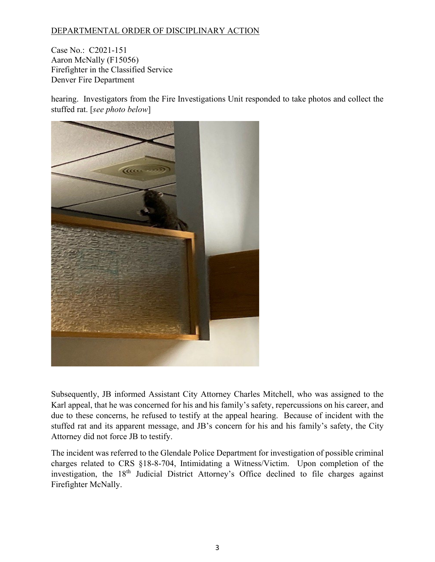Case No.: C2021-151 Aaron McNally (F15056) Firefighter in the Classified Service Denver Fire Department

hearing. Investigators from the Fire Investigations Unit responded to take photos and collect the stuffed rat. [*see photo below*]



Subsequently, JB informed Assistant City Attorney Charles Mitchell, who was assigned to the Karl appeal, that he was concerned for his and his family's safety, repercussions on his career, and due to these concerns, he refused to testify at the appeal hearing. Because of incident with the stuffed rat and its apparent message, and JB's concern for his and his family's safety, the City Attorney did not force JB to testify.

The incident was referred to the Glendale Police Department for investigation of possible criminal charges related to CRS §18-8-704, Intimidating a Witness/Victim. Upon completion of the investigation, the 18<sup>th</sup> Judicial District Attorney's Office declined to file charges against Firefighter McNally.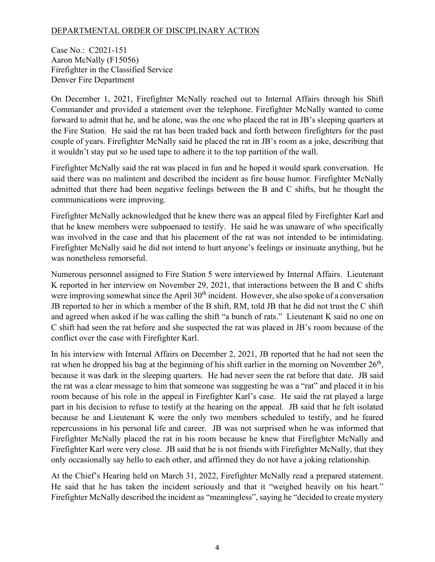Case No.: C2021-151 Aaron McNally (F15056) Firefighter in the Classified Service Denver Fire Department

On December 1, 2021, Firefighter McNally reached out to Internal Affairs through his Shift Commander and provided a statement over the telephone. Firefighter McNally wanted to come forward to admit that he, and he alone, was the one who placed the rat in JB's sleeping quarters at the Fire Station. He said the rat has been traded back and forth between firefighters for the past couple of years. Firefighter McNally said he placed the rat in JB's room as a joke, describing that it wouldn't stay put so he used tape to adhere it to the top partition of the wall.

Firefighter McNally said the rat was placed in fun and he hoped it would spark conversation. He said there was no malintent and described the incident as fire house humor. Firefighter McNally admitted that there had been negative feelings between the B and C shifts, but he thought the communications were improving.

Firefighter McNally acknowledged that he knew there was an appeal filed by Firefighter Karl and that he knew members were subpoenaed to testify. He said he was unaware of who specifically was involved in the case and that his placement of the rat was not intended to be intimidating. Firefighter McNally said he did not intend to hurt anyone's feelings or insinuate anything, but he was nonetheless remorseful.

Numerous personnel assigned to Fire Station 5 were interviewed by Internal Affairs. Lieutenant K reported in her interview on November 29, 2021, that interactions between the B and C shifts were improving somewhat since the April 30<sup>th</sup> incident. However, she also spoke of a conversation JB reported to her in which a member of the B shift, RM, told JB that he did not trust the C shift and agreed when asked if he was calling the shift "a bunch of rats." Lieutenant K said no one on C shift had seen the rat before and she suspected the rat was placed in JB's room because of the conflict over the case with Firefighter Karl.

In his interview with Internal Affairs on December 2, 2021, JB reported that he had not seen the rat when he dropped his bag at the beginning of his shift earlier in the morning on November 26<sup>th</sup>, because it was dark in the sleeping quarters. He had never seen the rat before that date. JB said the rat was a clear message to him that someone was suggesting he was a "rat" and placed it in his room because of his role in the appeal in Firefighter Karl's case. He said the rat played a large part in his decision to refuse to testify at the hearing on the appeal. JB said that he felt isolated because he and Lieutenant K were the only two members scheduled to testify, and he feared repercussions in his personal life and career. JB was not surprised when he was informed that Firefighter McNally placed the rat in his room because he knew that Firefighter McNally and Firefighter Karl were very close. JB said that he is not friends with Firefighter McNally, that they only occasionally say hello to each other, and affirmed they do not have a joking relationship.

At the Chief's Hearing held on March 31, 2022, Firefighter McNally read a prepared statement. He said that he has taken the incident seriously and that it "weighed heavily on his heart." Firefighter McNally described the incident as "meaningless", saying he "decided to create mystery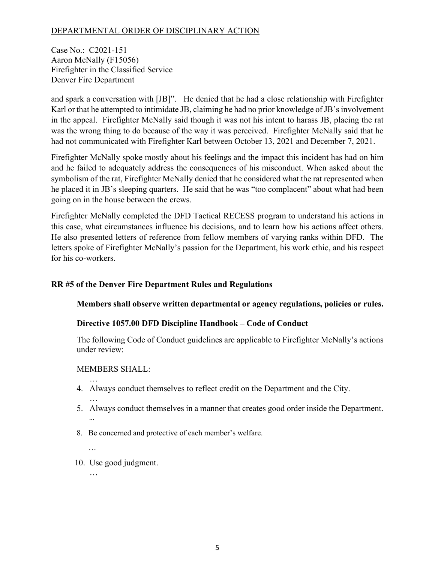Case No.: C2021-151 Aaron McNally (F15056) Firefighter in the Classified Service Denver Fire Department

and spark a conversation with [JB]". He denied that he had a close relationship with Firefighter Karl or that he attempted to intimidate JB, claiming he had no prior knowledge of JB's involvement in the appeal. Firefighter McNally said though it was not his intent to harass JB, placing the rat was the wrong thing to do because of the way it was perceived. Firefighter McNally said that he had not communicated with Firefighter Karl between October 13, 2021 and December 7, 2021.

Firefighter McNally spoke mostly about his feelings and the impact this incident has had on him and he failed to adequately address the consequences of his misconduct. When asked about the symbolism of the rat, Firefighter McNally denied that he considered what the rat represented when he placed it in JB's sleeping quarters. He said that he was "too complacent" about what had been going on in the house between the crews.

Firefighter McNally completed the DFD Tactical RECESS program to understand his actions in this case, what circumstances influence his decisions, and to learn how his actions affect others. He also presented letters of reference from fellow members of varying ranks within DFD. The letters spoke of Firefighter McNally's passion for the Department, his work ethic, and his respect for his co-workers.

# **RR #5 of the Denver Fire Department Rules and Regulations**

## **Members shall observe written departmental or agency regulations, policies or rules.**

## **Directive 1057.00 DFD Discipline Handbook – Code of Conduct**

The following Code of Conduct guidelines are applicable to Firefighter McNally's actions under review:

#### MEMBERS SHALL:

- … 4. Always conduct themselves to reflect credit on the Department and the City.
- … 5. Always conduct themselves in a manner that creates good order inside the Department. …
- 8. Be concerned and protective of each member's welfare.
	- …
- 10. Use good judgment.

…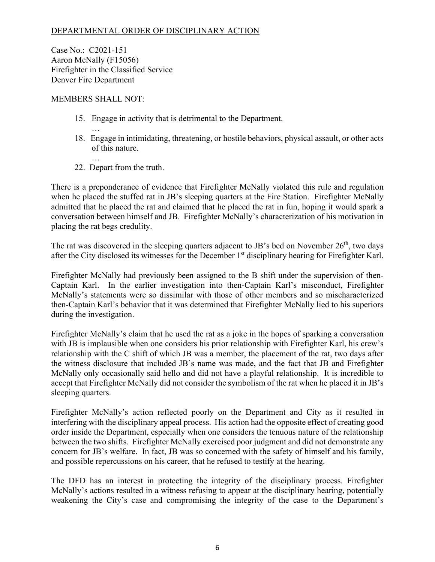Case No.: C2021-151 Aaron McNally (F15056) Firefighter in the Classified Service Denver Fire Department

MEMBERS SHALL NOT:

- 15. Engage in activity that is detrimental to the Department.
- … 18. Engage in intimidating, threatening, or hostile behaviors, physical assault, or other acts of this nature.
- … 22. Depart from the truth.

There is a preponderance of evidence that Firefighter McNally violated this rule and regulation when he placed the stuffed rat in JB's sleeping quarters at the Fire Station. Firefighter McNally admitted that he placed the rat and claimed that he placed the rat in fun, hoping it would spark a conversation between himself and JB. Firefighter McNally's characterization of his motivation in placing the rat begs credulity.

The rat was discovered in the sleeping quarters adjacent to JB's bed on November 26<sup>th</sup>, two days after the City disclosed its witnesses for the December 1st disciplinary hearing for Firefighter Karl.

Firefighter McNally had previously been assigned to the B shift under the supervision of then-Captain Karl. In the earlier investigation into then-Captain Karl's misconduct, Firefighter McNally's statements were so dissimilar with those of other members and so mischaracterized then-Captain Karl's behavior that it was determined that Firefighter McNally lied to his superiors during the investigation.

Firefighter McNally's claim that he used the rat as a joke in the hopes of sparking a conversation with JB is implausible when one considers his prior relationship with Firefighter Karl, his crew's relationship with the C shift of which JB was a member, the placement of the rat, two days after the witness disclosure that included JB's name was made, and the fact that JB and Firefighter McNally only occasionally said hello and did not have a playful relationship. It is incredible to accept that Firefighter McNally did not consider the symbolism of the rat when he placed it in JB's sleeping quarters.

Firefighter McNally's action reflected poorly on the Department and City as it resulted in interfering with the disciplinary appeal process. His action had the opposite effect of creating good order inside the Department, especially when one considers the tenuous nature of the relationship between the two shifts. Firefighter McNally exercised poor judgment and did not demonstrate any concern for JB's welfare. In fact, JB was so concerned with the safety of himself and his family, and possible repercussions on his career, that he refused to testify at the hearing.

The DFD has an interest in protecting the integrity of the disciplinary process. Firefighter McNally's actions resulted in a witness refusing to appear at the disciplinary hearing, potentially weakening the City's case and compromising the integrity of the case to the Department's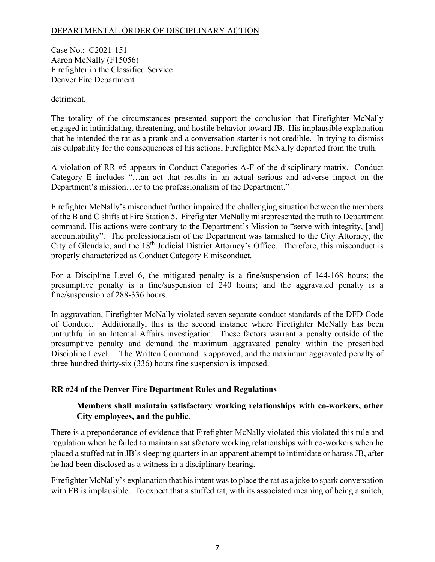Case No.: C2021-151 Aaron McNally (F15056) Firefighter in the Classified Service Denver Fire Department

detriment.

The totality of the circumstances presented support the conclusion that Firefighter McNally engaged in intimidating, threatening, and hostile behavior toward JB. His implausible explanation that he intended the rat as a prank and a conversation starter is not credible. In trying to dismiss his culpability for the consequences of his actions, Firefighter McNally departed from the truth.

A violation of RR #5 appears in Conduct Categories A-F of the disciplinary matrix. Conduct Category E includes "…an act that results in an actual serious and adverse impact on the Department's mission…or to the professionalism of the Department."

Firefighter McNally's misconduct further impaired the challenging situation between the members of the B and C shifts at Fire Station 5. Firefighter McNally misrepresented the truth to Department command. His actions were contrary to the Department's Mission to "serve with integrity, [and] accountability". The professionalism of the Department was tarnished to the City Attorney, the City of Glendale, and the 18th Judicial District Attorney's Office. Therefore, this misconduct is properly characterized as Conduct Category E misconduct.

For a Discipline Level 6, the mitigated penalty is a fine/suspension of 144-168 hours; the presumptive penalty is a fine/suspension of 240 hours; and the aggravated penalty is a fine/suspension of 288-336 hours.

In aggravation, Firefighter McNally violated seven separate conduct standards of the DFD Code of Conduct. Additionally, this is the second instance where Firefighter McNally has been untruthful in an Internal Affairs investigation. These factors warrant a penalty outside of the presumptive penalty and demand the maximum aggravated penalty within the prescribed Discipline Level. The Written Command is approved, and the maximum aggravated penalty of three hundred thirty-six (336) hours fine suspension is imposed.

## **RR #24 of the Denver Fire Department Rules and Regulations**

# **Members shall maintain satisfactory working relationships with co-workers, other City employees, and the public**.

There is a preponderance of evidence that Firefighter McNally violated this violated this rule and regulation when he failed to maintain satisfactory working relationships with co-workers when he placed a stuffed rat in JB's sleeping quarters in an apparent attempt to intimidate or harass JB, after he had been disclosed as a witness in a disciplinary hearing.

Firefighter McNally's explanation that his intent was to place the rat as a joke to spark conversation with FB is implausible. To expect that a stuffed rat, with its associated meaning of being a snitch,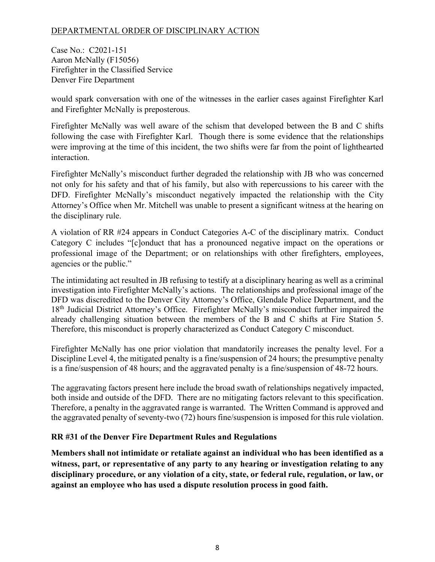Case No.: C2021-151 Aaron McNally (F15056) Firefighter in the Classified Service Denver Fire Department

would spark conversation with one of the witnesses in the earlier cases against Firefighter Karl and Firefighter McNally is preposterous.

Firefighter McNally was well aware of the schism that developed between the B and C shifts following the case with Firefighter Karl. Though there is some evidence that the relationships were improving at the time of this incident, the two shifts were far from the point of lighthearted interaction.

Firefighter McNally's misconduct further degraded the relationship with JB who was concerned not only for his safety and that of his family, but also with repercussions to his career with the DFD. Firefighter McNally's misconduct negatively impacted the relationship with the City Attorney's Office when Mr. Mitchell was unable to present a significant witness at the hearing on the disciplinary rule.

A violation of RR #24 appears in Conduct Categories A-C of the disciplinary matrix. Conduct Category C includes "[c]onduct that has a pronounced negative impact on the operations or professional image of the Department; or on relationships with other firefighters, employees, agencies or the public."

The intimidating act resulted in JB refusing to testify at a disciplinary hearing as well as a criminal investigation into Firefighter McNally's actions. The relationships and professional image of the DFD was discredited to the Denver City Attorney's Office, Glendale Police Department, and the 18<sup>th</sup> Judicial District Attorney's Office. Firefighter McNally's misconduct further impaired the already challenging situation between the members of the B and C shifts at Fire Station 5. Therefore, this misconduct is properly characterized as Conduct Category C misconduct.

Firefighter McNally has one prior violation that mandatorily increases the penalty level. For a Discipline Level 4, the mitigated penalty is a fine/suspension of 24 hours; the presumptive penalty is a fine/suspension of 48 hours; and the aggravated penalty is a fine/suspension of 48-72 hours.

The aggravating factors present here include the broad swath of relationships negatively impacted, both inside and outside of the DFD. There are no mitigating factors relevant to this specification. Therefore, a penalty in the aggravated range is warranted. The Written Command is approved and the aggravated penalty of seventy-two (72) hours fine/suspension is imposed for this rule violation.

## **RR #31 of the Denver Fire Department Rules and Regulations**

**Members shall not intimidate or retaliate against an individual who has been identified as a witness, part, or representative of any party to any hearing or investigation relating to any disciplinary procedure, or any violation of a city, state, or federal rule, regulation, or law, or against an employee who has used a dispute resolution process in good faith.**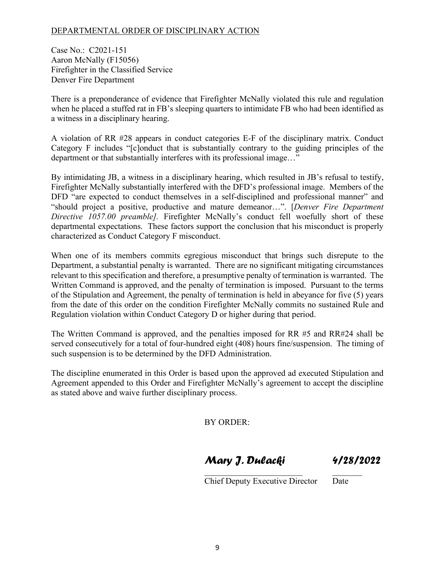Case No.: C2021-151 Aaron McNally (F15056) Firefighter in the Classified Service Denver Fire Department

There is a preponderance of evidence that Firefighter McNally violated this rule and regulation when he placed a stuffed rat in FB's sleeping quarters to intimidate FB who had been identified as a witness in a disciplinary hearing.

A violation of RR #28 appears in conduct categories E-F of the disciplinary matrix. Conduct Category F includes "[c]onduct that is substantially contrary to the guiding principles of the department or that substantially interferes with its professional image…"

By intimidating JB, a witness in a disciplinary hearing, which resulted in JB's refusal to testify, Firefighter McNally substantially interfered with the DFD's professional image. Members of the DFD "are expected to conduct themselves in a self-disciplined and professional manner" and "should project a positive, productive and mature demeanor…". [*Denver Fire Department Directive 1057.00 preamble].* Firefighter McNally's conduct fell woefully short of these departmental expectations. These factors support the conclusion that his misconduct is properly characterized as Conduct Category F misconduct.

When one of its members commits egregious misconduct that brings such disrepute to the Department, a substantial penalty is warranted. There are no significant mitigating circumstances relevant to this specification and therefore, a presumptive penalty of termination is warranted. The Written Command is approved, and the penalty of termination is imposed. Pursuant to the terms of the Stipulation and Agreement, the penalty of termination is held in abeyance for five (5) years from the date of this order on the condition Firefighter McNally commits no sustained Rule and Regulation violation within Conduct Category D or higher during that period.

The Written Command is approved, and the penalties imposed for RR #5 and RR#24 shall be served consecutively for a total of four-hundred eight (408) hours fine/suspension. The timing of such suspension is to be determined by the DFD Administration.

The discipline enumerated in this Order is based upon the approved ad executed Stipulation and Agreement appended to this Order and Firefighter McNally's agreement to accept the discipline as stated above and waive further disciplinary process.

BY ORDER:

*Mary J. Dulacki 4/28/2022*

\_\_\_\_\_\_\_\_\_\_\_\_\_\_\_\_\_\_\_\_\_\_\_ \_\_\_\_\_\_\_ Chief Deputy Executive Director Date